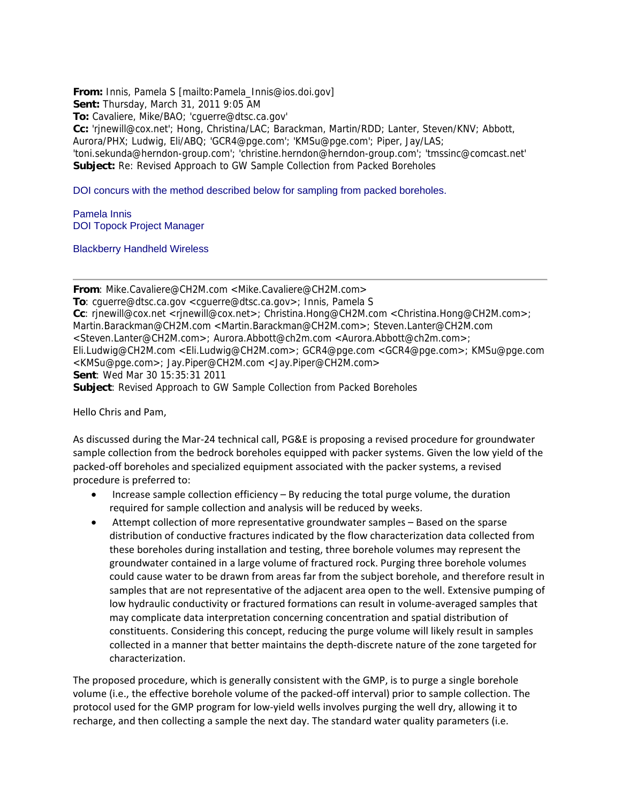**From:** Innis, Pamela S [mailto:Pamela\_Innis@ios.doi.gov] **Sent:** Thursday, March 31, 2011 9:05 AM **To:** Cavaliere, Mike/BAO; 'cguerre@dtsc.ca.gov' **Cc:** 'rjnewill@cox.net'; Hong, Christina/LAC; Barackman, Martin/RDD; Lanter, Steven/KNV; Abbott, Aurora/PHX; Ludwig, Eli/ABQ; 'GCR4@pge.com'; 'KMSu@pge.com'; Piper, Jay/LAS; 'toni.sekunda@herndon-group.com'; 'christine.herndon@herndon-group.com'; 'tmssinc@comcast.net' **Subject:** Re: Revised Approach to GW Sample Collection from Packed Boreholes

DOI concurs with the method described below for sampling from packed boreholes.

Pamela Innis DOI Topock Project Manager

Blackberry Handheld Wireless

**From**: Mike.Cavaliere@CH2M.com <Mike.Cavaliere@CH2M.com> **To**: cguerre@dtsc.ca.gov <cguerre@dtsc.ca.gov>; Innis, Pamela S **Cc**: rjnewill@cox.net <rjnewill@cox.net>; Christina.Hong@CH2M.com <Christina.Hong@CH2M.com>; Martin.Barackman@CH2M.com <Martin.Barackman@CH2M.com>; Steven.Lanter@CH2M.com <Steven.Lanter@CH2M.com>; Aurora.Abbott@ch2m.com <Aurora.Abbott@ch2m.com>; Eli.Ludwig@CH2M.com <Eli.Ludwig@CH2M.com>; GCR4@pge.com <GCR4@pge.com>; KMSu@pge.com <KMSu@pge.com>; Jay.Piper@CH2M.com <Jay.Piper@CH2M.com> **Sent**: Wed Mar 30 15:35:31 2011 **Subject**: Revised Approach to GW Sample Collection from Packed Boreholes

Hello Chris and Pam,

As discussed during the Mar‐24 technical call, PG&E is proposing a revised procedure for groundwater sample collection from the bedrock boreholes equipped with packer systems. Given the low yield of the packed‐off boreholes and specialized equipment associated with the packer systems, a revised procedure is preferred to:

- $\bullet$  Increase sample collection efficiency By reducing the total purge volume, the duration required for sample collection and analysis will be reduced by weeks.
- Attempt collection of more representative groundwater samples Based on the sparse distribution of conductive fractures indicated by the flow characterization data collected from these boreholes during installation and testing, three borehole volumes may represent the groundwater contained in a large volume of fractured rock. Purging three borehole volumes could cause water to be drawn from areas far from the subject borehole, and therefore result in samples that are not representative of the adjacent area open to the well. Extensive pumping of low hydraulic conductivity or fractured formations can result in volume‐averaged samples that may complicate data interpretation concerning concentration and spatial distribution of constituents. Considering this concept, reducing the purge volume will likely result in samples collected in a manner that better maintains the depth‐discrete nature of the zone targeted for characterization.

The proposed procedure, which is generally consistent with the GMP, is to purge a single borehole volume (i.e., the effective borehole volume of the packed‐off interval) prior to sample collection. The protocol used for the GMP program for low-yield wells involves purging the well dry, allowing it to recharge, and then collecting a sample the next day. The standard water quality parameters (i.e.